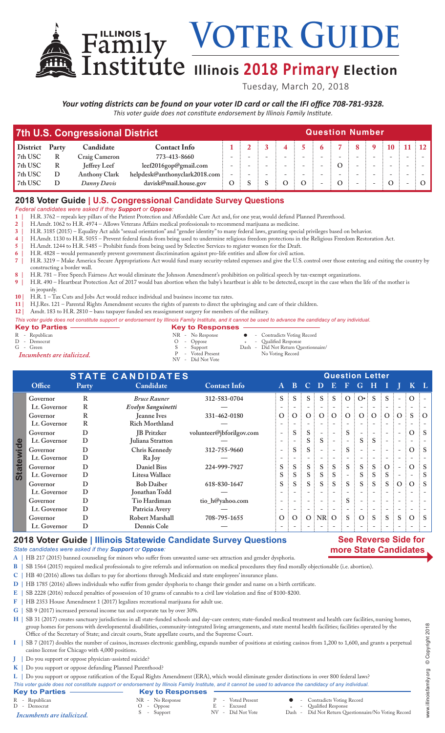VOTER GUIDE

# **Illinois 2018 Primary Election**

Tuesday, March 20, 2018

*Your voting districts can be found on your voter ID card or call the IFI office 708-781-9328. This voter guide does not constitute endorsement by Illinois Family Institute.*

| <b>7th U.S. Congressional District</b> |       |                      |                                 | <b>Question Number</b> |                          |  |  |    |              |  |  |
|----------------------------------------|-------|----------------------|---------------------------------|------------------------|--------------------------|--|--|----|--------------|--|--|
| <b>District</b>                        | Party | Candidate            | <b>Contact Info</b>             |                        |                          |  |  | 8: | $\mathbf{Q}$ |  |  |
| 7th USC                                |       | Craig Cameron        | 773-413-8660                    |                        | $\overline{\phantom{0}}$ |  |  |    |              |  |  |
| 7th USC                                |       | <b>Jeffrey Leef</b>  | leef2016gop@gmail.com           |                        |                          |  |  |    |              |  |  |
| 7th USC                                |       | <b>Anthony Clark</b> | helpdesk@anthonyclark2018.com : |                        |                          |  |  |    |              |  |  |
| 7th USC                                |       | Danny Davis          | davisk@mail.house.gov           | $\Omega$               |                          |  |  |    |              |  |  |

## **2018 Voter Guide | U.S. Congressional Candidate Survey Questions**

*Federal candidates were asked if they Support or Oppose:*

**1 |** H.R. 3762 – repeals key pillars of the Patient Protection and Affordable Care Act and, for one year, would defund Planned Parenthood.

**2 |** H.Amdt. 1062 to H.R. 4974 – Allows Veterans Affairs medical professionals to recommend marijuana as medicine.

**3 |** H.R. 3185 (2015) – Equality Act adds "sexual orientation" and "gender identity" to many federal laws, granting special privileges based on behavior.

**4 |** H.Amdt. 1130 to H.R. 5055 – Prevent federal funds from being used to undermine religious freedom protections in the Religious Freedom Restoration Act.

**5 |** H.Amdt. 1244 to H.R. 5485 – Prohibit funds from being used by Selective Services to register women for the Draft.

**6 |** H.R. 4828 – would permanently prevent government discrimination against pro-life entities and allow for civil action. **7 |** H.R. 3219 – Make America Secure Appropriations Act would fund many security-related expenses and give the U.S. control over those entering and exiting the country by constructing a border wall.

**8 |** H.R. 781 – Free Speech Fairness Act would eliminate the Johnson Amendment's prohibition on political speech by tax-exempt organizations.

**9 |** H.R. 490 – Heartbeat Protection Act of 2017 would ban abortion when the baby's heartbeat is able to be detected, except in the case when the life of the mother is

in jeopardy.

**10 |** H.R. 1 – Tax Cuts and Jobs Act would reduce individual and business income tax rates.

**11 |** H.J.Res. 121 – Parental Rights Amendment secures the rights of parents to direct the upbringing and care of their children.

**12 |** Amdt. 183 to H.R. 2810 – bans taxpayer funded sex reassignment surgery for members of the military.

| This voter guide does not constitute support or endorsement by Illinois Family Institute, and it cannot be used to advance the candidacy of any individual. |                                        |  |                                      |  |  |  |  |  |
|-------------------------------------------------------------------------------------------------------------------------------------------------------------|----------------------------------------|--|--------------------------------------|--|--|--|--|--|
| <b>Key to Parties -</b>                                                                                                                                     | <b>Key to Responses <math>-</math></b> |  |                                      |  |  |  |  |  |
| R - Republican                                                                                                                                              | NR - No Response                       |  | • Contradicts Voting Record          |  |  |  |  |  |
| D - Democrat                                                                                                                                                | $O$ - Oppose                           |  | - Qualified Response                 |  |  |  |  |  |
| G - Green                                                                                                                                                   | S - Support                            |  | Dash - Did Not Return Questionnaire/ |  |  |  |  |  |
|                                                                                                                                                             |                                        |  | .                                    |  |  |  |  |  |

NV - Did Not Vote

*Incumbents are italicized.* The Music Contract Publishers are italicized. The Music Contract Publishers are included as  $P = \text{Voted Present}$ 

|                  | <b>STATE CANDIDATES</b> |              |                       |                          |                          | <b>Question Letter</b> |       |                          |   |                          |                     |              |                          |                          |          |                |
|------------------|-------------------------|--------------|-----------------------|--------------------------|--------------------------|------------------------|-------|--------------------------|---|--------------------------|---------------------|--------------|--------------------------|--------------------------|----------|----------------|
|                  | Office                  | Party        | Candidate             | <b>Contact Info</b>      | $\mathbf{A}$             | B.                     | C     | D                        | E | F                        | G                   | Н            |                          |                          |          |                |
|                  | Governor                | R            | <b>Bruce Rauner</b>   | 312-583-0704             | S.                       |                        |       | S                        |   |                          | $O:O^{\bullet}$     | <sup>S</sup> | S                        |                          | $\Omega$ |                |
|                  | Lt. Governor            | R            | Evelyn Sanguinetti    |                          | $\overline{\phantom{0}}$ |                        |       |                          |   |                          |                     |              |                          |                          |          |                |
|                  | Governor                | R            | <b>Jeanne Ives</b>    | 331-462-0180             | O:                       | O <sup>3</sup>         | O:    | O:                       |   |                          | 0:0:0:0:0:0         |              |                          |                          | S        | $\partial$ : O |
|                  | Lt. Governor            | $\mathbb{R}$ | <b>Rich Morthland</b> |                          |                          |                        |       |                          |   |                          |                     |              |                          |                          |          |                |
|                  | Governor                | D            | <b>IB</b> Pritzker    | volunteer@jbforilgov.com | $\overline{\phantom{a}}$ | S                      | S     |                          |   | S                        |                     |              |                          |                          | $\Omega$ | $\cdot$ S      |
|                  | Lt. Governor            | D            | Juliana Stratton      |                          | $\overline{\phantom{0}}$ |                        |       | S                        |   | $\overline{\phantom{0}}$ | S                   | S            | $\overline{\phantom{a}}$ |                          |          |                |
| <b>Statewide</b> | Governor                | D            | Chris Kennedy         | 312-755-9660             | $\overline{\phantom{0}}$ | S                      | S.    |                          |   | S                        |                     |              |                          | $\overline{\phantom{a}}$ | $\Omega$ | $\therefore$ S |
|                  | Lt. Governor            | D            | Ra Joy                |                          |                          |                        |       |                          |   |                          |                     |              |                          |                          |          |                |
|                  | Governor                | D            | <b>Daniel Biss</b>    | 224-999-7927             | S                        | S                      | S.    | S                        | S | S                        | S.                  | <sub>S</sub> | $\Omega$                 |                          | O        | $\vdots$ S     |
|                  | Lt. Governor            | D            | Litesa Wallace        |                          | S                        | S                      | S.    | S                        | S | $\overline{\phantom{a}}$ | S.                  | S.           | S                        |                          |          | S              |
|                  | Governor                | D            | <b>Bob Daiber</b>     | 618-830-1647             | S                        | S                      | $S$ : | $S$ :                    | S | S                        | $S \nightharpoonup$ | S.           | S                        | $\vdots$ O               | $\Omega$ | $\therefore$ S |
|                  | Lt. Governor            | D            | Jonathan Todd         |                          |                          |                        |       |                          |   |                          |                     |              |                          |                          |          |                |
|                  | Governor                | D            | Tio Hardiman          | tio_h@yahoo.com          | $\overline{\phantom{a}}$ |                        |       |                          |   | S                        |                     |              |                          |                          |          |                |
|                  | Lt. Governor            | D            | Patricia Avery        |                          | $\overline{\phantom{a}}$ |                        |       | $\overline{\phantom{a}}$ |   | $\overline{\phantom{a}}$ |                     |              |                          |                          |          |                |
|                  | Governor                | D            | Robert Marshall       | 708-795-1655             | $\Omega$                 | $\Omega$               |       | $O$ : NR: O              |   | S                        | O:                  | S            | <sub>S</sub>             | <sub>S</sub>             | $\Omega$ | $\vdots$ S     |
|                  | Lt. Governor            | D            | Dennis Cole           |                          |                          |                        |       |                          |   |                          |                     |              |                          |                          |          |                |
|                  |                         |              |                       |                          |                          |                        |       |                          |   |                          |                     |              |                          |                          |          |                |

## **2018 Voter Guide | Illinois Statewide Candidate Survey Questions**

#### *State candidates were asked if they Support or Oppose:*

**A |** HB 217 (2015) banned counseling for minors who suffer from unwanted same-sex attraction and gender dysphoria.

**B |** SB 1564 (2015) required medical professionals to give referrals and information on medical procedures they find morally objectionable (i.e. abortion).

**C |** HB 40 (2016) allows tax dollars to pay for abortions through Medicaid and state employees' insurance plans.

**D |** HB 1785 (2016) allows individuals who suffer from gender dysphoria to change their gender and name on a birth certificate.

**E |** SB 2228 (2016) reduced penalties of possession of 10 grams of cannabis to a civil law violation and fine of \$100-\$200.

**F |** HB 2353 House Amendment 1 (2017) legalizes recreational marijuana for adult use.

**G |** SB 9 (2017) increased personal income tax and corporate tax by over 30%.

H | SB 31 (2017) creates sanctuary jurisdictions in all state-funded schools and day-care centers; state-funded medical treatment and health care facilities, nursing homes, group homes for persons with developmental disabilities, community-integrated living arrangements, and state mental health facilities; facilities operated by the Office of the Secretary of State; and circuit courts, State appellate courts, and the Supreme Court.

- **I |** SB 7 (2017) doubles the number of casinos, increases electronic gambling, expands number of positions at existing casinos from 1,200 to 1,600, and grants a perpetual casino license for Chicago with 4,000 positions.
- **J |** Do you support or oppose physician-assisted suicide?
- **K |** Do you support or oppose defunding Planned Parenthood?

**L |** Do you support or oppose ratification of the Equal Rights Amendment (ERA), which would eliminate gender distinctions in over 800 federal laws?

*This voter guide does not constitute support or endorsement by Illinois Family Institute, and it cannot be used to advance the candidacy of any individual.*

| This voter guide does not constitute support or endorsement by Hilnois Family Institute, and it cannot be used to advance the candidacy of any individual. |                         |                   |                                                      |
|------------------------------------------------------------------------------------------------------------------------------------------------------------|-------------------------|-------------------|------------------------------------------------------|
| <b>Key to Parties</b>                                                                                                                                      | <b>Key to Responses</b> |                   |                                                      |
| R - Republican                                                                                                                                             | NR - No Response        | P - Voted Present | • Contradicts Voting Record                          |
| D - Democrat                                                                                                                                               | $O - Oppose$            | E - Excused       | - Qualified Response                                 |
| Incumbents are italicized.                                                                                                                                 | - Support               | NV - Did Not Vote | Dash - Did Not Return Questionnaire/No Voting Record |

**See Reverse Side for more State Candidates**